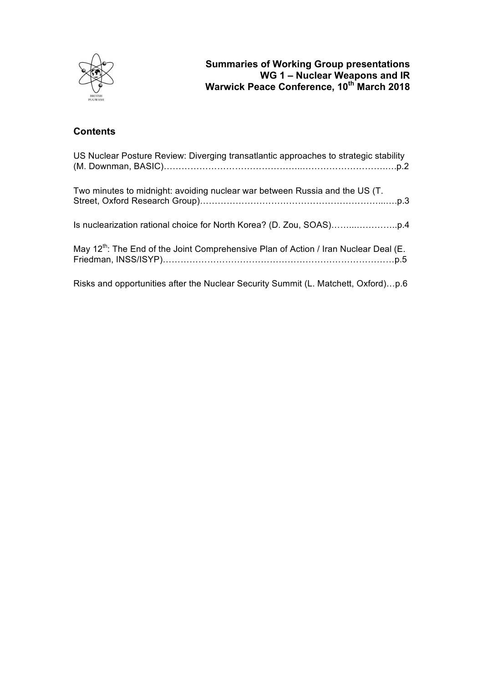

# **Contents**

| US Nuclear Posture Review: Diverging transatlantic approaches to strategic stability             |
|--------------------------------------------------------------------------------------------------|
| Two minutes to midnight: avoiding nuclear war between Russia and the US (T.                      |
|                                                                                                  |
| May 12 <sup>th</sup> : The End of the Joint Comprehensive Plan of Action / Iran Nuclear Deal (E. |
| Risks and opportunities after the Nuclear Security Summit (L. Matchett, Oxford)p.6               |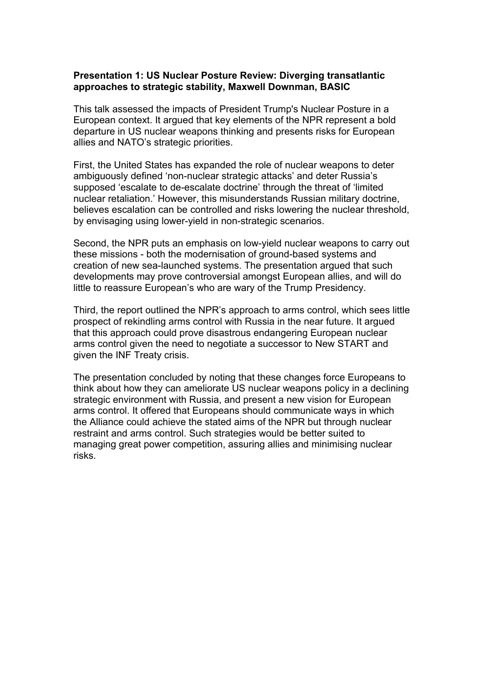## **Presentation 1: US Nuclear Posture Review: Diverging transatlantic approaches to strategic stability, Maxwell Downman, BASIC**

This talk assessed the impacts of President Trump's Nuclear Posture in a European context. It argued that key elements of the NPR represent a bold departure in US nuclear weapons thinking and presents risks for European allies and NATO's strategic priorities.

First, the United States has expanded the role of nuclear weapons to deter ambiguously defined 'non-nuclear strategic attacks' and deter Russia's supposed 'escalate to de-escalate doctrine' through the threat of 'limited nuclear retaliation.' However, this misunderstands Russian military doctrine, believes escalation can be controlled and risks lowering the nuclear threshold, by envisaging using lower-yield in non-strategic scenarios.

Second, the NPR puts an emphasis on low-yield nuclear weapons to carry out these missions - both the modernisation of ground-based systems and creation of new sea-launched systems. The presentation argued that such developments may prove controversial amongst European allies, and will do little to reassure European's who are wary of the Trump Presidency.

Third, the report outlined the NPR's approach to arms control, which sees little prospect of rekindling arms control with Russia in the near future. It argued that this approach could prove disastrous endangering European nuclear arms control given the need to negotiate a successor to New START and given the INF Treaty crisis.

The presentation concluded by noting that these changes force Europeans to think about how they can ameliorate US nuclear weapons policy in a declining strategic environment with Russia, and present a new vision for European arms control. It offered that Europeans should communicate ways in which the Alliance could achieve the stated aims of the NPR but through nuclear restraint and arms control. Such strategies would be better suited to managing great power competition, assuring allies and minimising nuclear risks.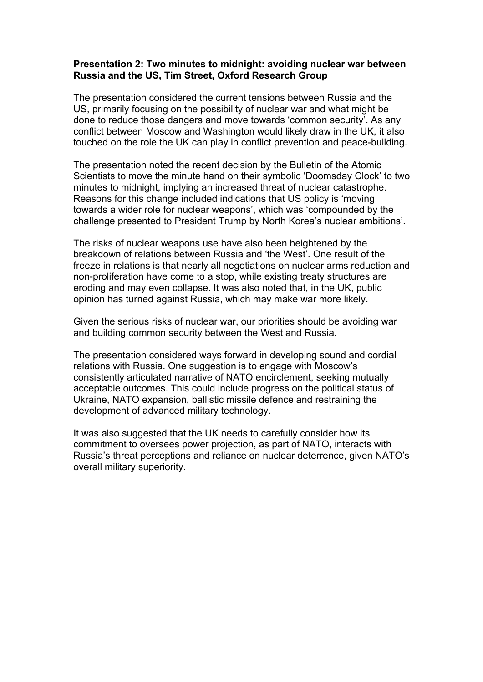## **Presentation 2: Two minutes to midnight: avoiding nuclear war between Russia and the US, Tim Street, Oxford Research Group**

The presentation considered the current tensions between Russia and the US, primarily focusing on the possibility of nuclear war and what might be done to reduce those dangers and move towards 'common security'. As any conflict between Moscow and Washington would likely draw in the UK, it also touched on the role the UK can play in conflict prevention and peace-building.

The presentation noted the recent decision by the Bulletin of the Atomic Scientists to move the minute hand on their symbolic 'Doomsday Clock' to two minutes to midnight, implying an increased threat of nuclear catastrophe. Reasons for this change included indications that US policy is 'moving towards a wider role for nuclear weapons', which was 'compounded by the challenge presented to President Trump by North Korea's nuclear ambitions'.

The risks of nuclear weapons use have also been heightened by the breakdown of relations between Russia and 'the West'. One result of the freeze in relations is that nearly all negotiations on nuclear arms reduction and non-proliferation have come to a stop, while existing treaty structures are eroding and may even collapse. It was also noted that, in the UK, public opinion has turned against Russia, which may make war more likely.

Given the serious risks of nuclear war, our priorities should be avoiding war and building common security between the West and Russia.

The presentation considered ways forward in developing sound and cordial relations with Russia. One suggestion is to engage with Moscow's consistently articulated narrative of NATO encirclement, seeking mutually acceptable outcomes. This could include progress on the political status of Ukraine, NATO expansion, ballistic missile defence and restraining the development of advanced military technology.

It was also suggested that the UK needs to carefully consider how its commitment to oversees power projection, as part of NATO, interacts with Russia's threat perceptions and reliance on nuclear deterrence, given NATO's overall military superiority.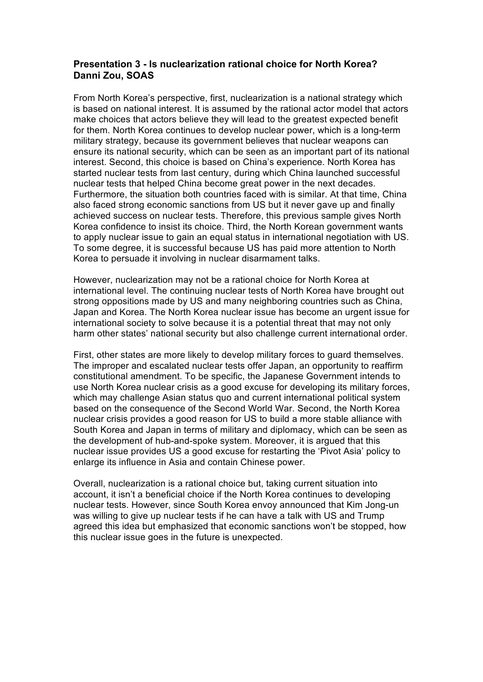## **Presentation 3 - Is nuclearization rational choice for North Korea? Danni Zou, SOAS**

From North Korea's perspective, first, nuclearization is a national strategy which is based on national interest. It is assumed by the rational actor model that actors make choices that actors believe they will lead to the greatest expected benefit for them. North Korea continues to develop nuclear power, which is a long-term military strategy, because its government believes that nuclear weapons can ensure its national security, which can be seen as an important part of its national interest. Second, this choice is based on China's experience. North Korea has started nuclear tests from last century, during which China launched successful nuclear tests that helped China become great power in the next decades. Furthermore, the situation both countries faced with is similar. At that time, China also faced strong economic sanctions from US but it never gave up and finally achieved success on nuclear tests. Therefore, this previous sample gives North Korea confidence to insist its choice. Third, the North Korean government wants to apply nuclear issue to gain an equal status in international negotiation with US. To some degree, it is successful because US has paid more attention to North Korea to persuade it involving in nuclear disarmament talks.

However, nuclearization may not be a rational choice for North Korea at international level. The continuing nuclear tests of North Korea have brought out strong oppositions made by US and many neighboring countries such as China, Japan and Korea. The North Korea nuclear issue has become an urgent issue for international society to solve because it is a potential threat that may not only harm other states' national security but also challenge current international order.

First, other states are more likely to develop military forces to guard themselves. The improper and escalated nuclear tests offer Japan, an opportunity to reaffirm constitutional amendment. To be specific, the Japanese Government intends to use North Korea nuclear crisis as a good excuse for developing its military forces, which may challenge Asian status quo and current international political system based on the consequence of the Second World War. Second, the North Korea nuclear crisis provides a good reason for US to build a more stable alliance with South Korea and Japan in terms of military and diplomacy, which can be seen as the development of hub-and-spoke system. Moreover, it is argued that this nuclear issue provides US a good excuse for restarting the 'Pivot Asia' policy to enlarge its influence in Asia and contain Chinese power.

Overall, nuclearization is a rational choice but, taking current situation into account, it isn't a beneficial choice if the North Korea continues to developing nuclear tests. However, since South Korea envoy announced that Kim Jong-un was willing to give up nuclear tests if he can have a talk with US and Trump agreed this idea but emphasized that economic sanctions won't be stopped, how this nuclear issue goes in the future is unexpected.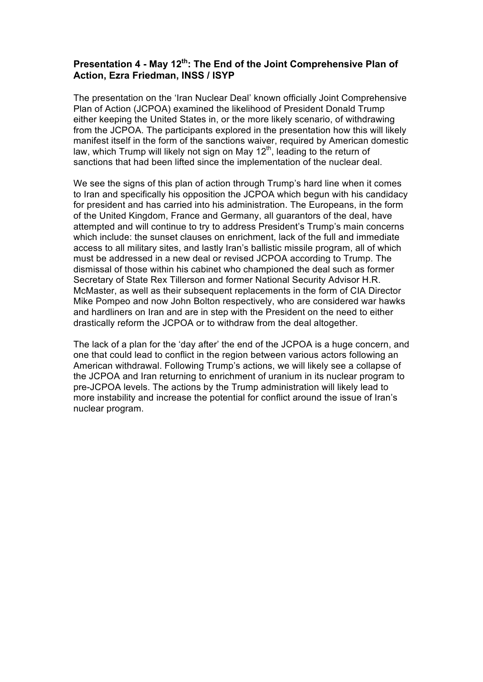## **Presentation 4 - May 12th: The End of the Joint Comprehensive Plan of Action, Ezra Friedman, INSS / ISYP**

The presentation on the 'Iran Nuclear Deal' known officially Joint Comprehensive Plan of Action (JCPOA) examined the likelihood of President Donald Trump either keeping the United States in, or the more likely scenario, of withdrawing from the JCPOA. The participants explored in the presentation how this will likely manifest itself in the form of the sanctions waiver, required by American domestic law, which Trump will likely not sign on May 12<sup>th</sup>, leading to the return of sanctions that had been lifted since the implementation of the nuclear deal.

We see the signs of this plan of action through Trump's hard line when it comes to Iran and specifically his opposition the JCPOA which begun with his candidacy for president and has carried into his administration. The Europeans, in the form of the United Kingdom, France and Germany, all guarantors of the deal, have attempted and will continue to try to address President's Trump's main concerns which include: the sunset clauses on enrichment, lack of the full and immediate access to all military sites, and lastly Iran's ballistic missile program, all of which must be addressed in a new deal or revised JCPOA according to Trump. The dismissal of those within his cabinet who championed the deal such as former Secretary of State Rex Tillerson and former National Security Advisor H.R. McMaster, as well as their subsequent replacements in the form of CIA Director Mike Pompeo and now John Bolton respectively, who are considered war hawks and hardliners on Iran and are in step with the President on the need to either drastically reform the JCPOA or to withdraw from the deal altogether.

The lack of a plan for the 'day after' the end of the JCPOA is a huge concern, and one that could lead to conflict in the region between various actors following an American withdrawal. Following Trump's actions, we will likely see a collapse of the JCPOA and Iran returning to enrichment of uranium in its nuclear program to pre-JCPOA levels. The actions by the Trump administration will likely lead to more instability and increase the potential for conflict around the issue of Iran's nuclear program.